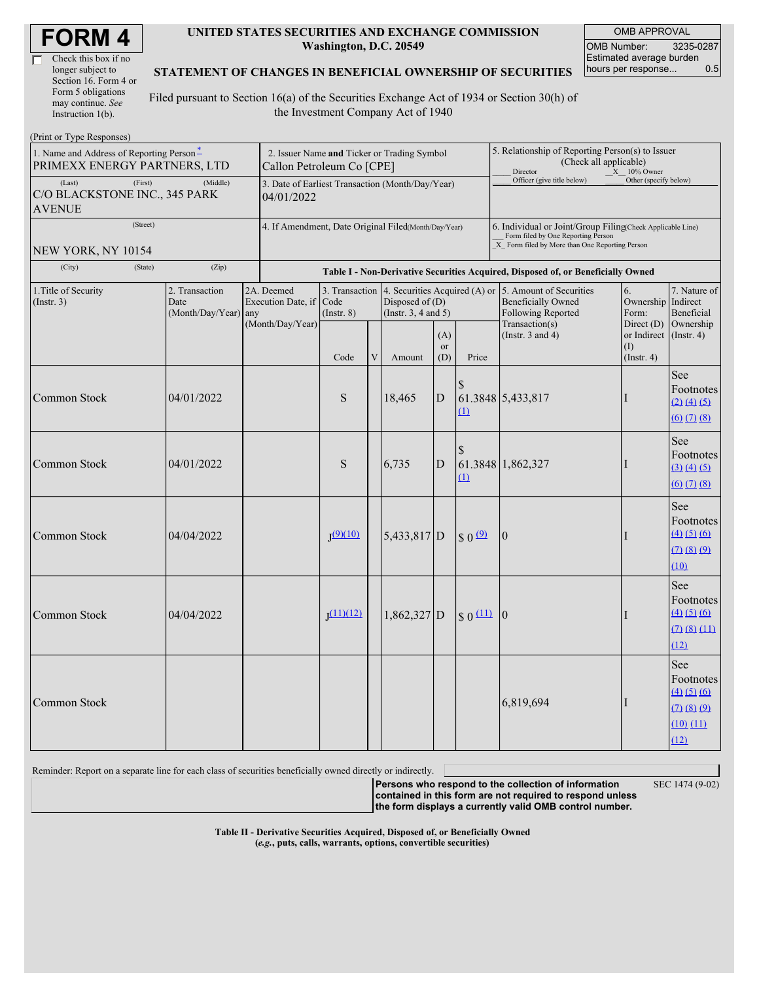| <b>FORM4</b> |
|--------------|
|--------------|

| Check this box if no  |  |
|-----------------------|--|
| longer subject to     |  |
| Section 16. Form 4 or |  |
| Form 5 obligations    |  |
| may continue. See     |  |
| Instruction 1(b).     |  |

 $(D_{\text{rint}} \text{ or } \text{T} \text{ and } \text{Do}$ 

#### **UNITED STATES SECURITIES AND EXCHANGE COMMISSION Washington, D.C. 20549**

OMB APPROVAL OMB Number: 3235-0287 Estimated average burden hours per response... 0.5

### **STATEMENT OF CHANGES IN BENEFICIAL OWNERSHIP OF SECURITIES**

Filed pursuant to Section 16(a) of the Securities Exchange Act of 1934 or Section 30(h) of the Investment Company Act of 1940

| $1 \text{ min}$ of $1 \text{ ypc}$ in $\text{top}$<br>1. Name and Address of Reporting Person-<br>PRIMEXX ENERGY PARTNERS, LTD |                                                                |                                                | Callon Petroleum Co [CPE]                            |                         |   | 2. Issuer Name and Ticker or Trading Symbol                                                   |                                                                                                                                                    |                       | 5. Relationship of Reporting Person(s) to Issuer<br>(Check all applicable)<br>$X = 10\%$ Owner<br>Director |                                                   |                                                                                                                                |  |
|--------------------------------------------------------------------------------------------------------------------------------|----------------------------------------------------------------|------------------------------------------------|------------------------------------------------------|-------------------------|---|-----------------------------------------------------------------------------------------------|----------------------------------------------------------------------------------------------------------------------------------------------------|-----------------------|------------------------------------------------------------------------------------------------------------|---------------------------------------------------|--------------------------------------------------------------------------------------------------------------------------------|--|
| (First)<br>(Last)<br>C/O BLACKSTONE INC., 345 PARK<br><b>AVENUE</b>                                                            | 3. Date of Earliest Transaction (Month/Day/Year)<br>04/01/2022 |                                                |                                                      |                         |   |                                                                                               | Officer (give title below)                                                                                                                         | Other (specify below) |                                                                                                            |                                                   |                                                                                                                                |  |
| (Street)<br><b>NEW YORK, NY 10154</b>                                                                                          | 4. If Amendment, Date Original Filed(Month/Day/Year)           |                                                |                                                      |                         |   |                                                                                               | 6. Individual or Joint/Group Filing(Check Applicable Line)<br>Form filed by One Reporting Person<br>X Form filed by More than One Reporting Person |                       |                                                                                                            |                                                   |                                                                                                                                |  |
| (State)<br>(City)                                                                                                              |                                                                |                                                |                                                      |                         |   |                                                                                               | Table I - Non-Derivative Securities Acquired, Disposed of, or Beneficially Owned                                                                   |                       |                                                                                                            |                                                   |                                                                                                                                |  |
| 1. Title of Security<br>(Insert. 3)                                                                                            |                                                                | 2. Transaction<br>Date<br>(Month/Day/Year) any | 2A. Deemed<br>Execution Date, if<br>(Month/Day/Year) | Code<br>$($ Instr. $8)$ |   | 3. Transaction 4. Securities Acquired (A) or<br>Disposed of $(D)$<br>(Instr. $3, 4$ and $5$ ) |                                                                                                                                                    |                       | 5. Amount of Securities<br><b>Beneficially Owned</b><br><b>Following Reported</b><br>Transaction(s)        | 6.<br>Ownership Indirect<br>Form:<br>Direct (D)   | 7. Nature of<br>Beneficial<br>Ownership                                                                                        |  |
|                                                                                                                                |                                                                |                                                |                                                      | Code                    | V | Amount                                                                                        | (A)<br><b>or</b><br>(D)                                                                                                                            | Price                 | (Instr. $3$ and $4$ )                                                                                      | or Indirect (Instr. 4)<br>(I)<br>$($ Instr. 4 $)$ |                                                                                                                                |  |
| Common Stock                                                                                                                   |                                                                | 04/01/2022                                     |                                                      | S                       |   | 18,465                                                                                        | $\overline{D}$                                                                                                                                     | $\Omega$              | 61.3848 5,433,817                                                                                          | T                                                 | See<br>Footnotes<br>$(2)$ $(4)$ $(5)$<br>$\underline{(6)}$ $\underline{(7)}$ $\underline{(8)}$                                 |  |
| Common Stock                                                                                                                   |                                                                | 04/01/2022                                     |                                                      | S                       |   | 6,735                                                                                         | $\overline{D}$                                                                                                                                     | (1)                   | 61.3848 1,862,327                                                                                          | $\mathbf{I}$                                      | See<br>Footnotes<br>$\underline{(3)} \underline{(4)} \underline{(5)}$<br>$\underline{(6)}$ $\underline{(7)}$ $\underline{(8)}$ |  |
| Common Stock                                                                                                                   |                                                                | 04/04/2022                                     |                                                      | T(9)(10)                |   | 5,433,817 D                                                                                   |                                                                                                                                                    | \$0 <sup>9</sup>      | $\overline{0}$                                                                                             | I                                                 | See<br>Footnotes<br>$\underline{(4)} \underline{(5)} \underline{(6)}$<br>(7)(8)(9)<br>(10)                                     |  |
| Common Stock                                                                                                                   |                                                                | 04/04/2022                                     |                                                      | T(11)(12)               |   | $1,862,327$ D                                                                                 |                                                                                                                                                    | $ S_0(11) _0$         |                                                                                                            | $\mathbf{I}$                                      | See<br>Footnotes<br>$\underline{(4)} \underline{(5)} \underline{(6)}$<br>(7)(8)(11)<br>(12)                                    |  |
| Common Stock                                                                                                                   |                                                                |                                                |                                                      |                         |   |                                                                                               |                                                                                                                                                    |                       | 6,819,694                                                                                                  | $\mathbf{I}$                                      | See<br>Footnotes<br>$(4)$ $(5)$ $(6)$<br>(7)(8)(9)<br>$(10)$ $(11)$<br>(12)                                                    |  |

Reminder: Report on a separate line for each class of securities beneficially owned directly or indirectly.

SEC 1474 (9-02)

**Persons who respond to the collection of information contained in this form are not required to respond unless the form displays a currently valid OMB control number.**

**Table II - Derivative Securities Acquired, Disposed of, or Beneficially Owned (***e.g.***, puts, calls, warrants, options, convertible securities)**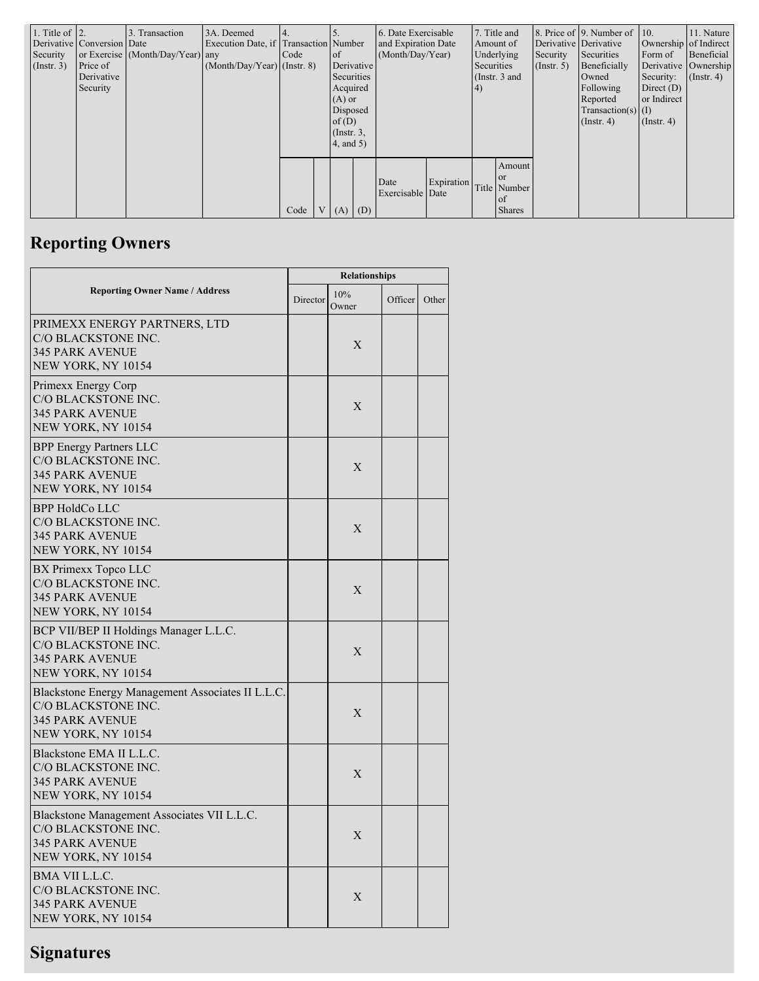| 1. Title of $\vert$ 2.<br>Security<br>$($ Instr. 3 $)$ | Derivative Conversion Date<br>Price of<br>Derivative<br>Security | 3. Transaction<br>or Exercise (Month/Day/Year) any | 3A. Deemed<br>Execution Date, if Transaction Number<br>$(Month/Day/Year)$ (Instr. 8) | Code | of<br>Derivative<br>Securities<br>Acquired<br>$(A)$ or<br>Disposed<br>of $(D)$<br>$($ Instr. $3,$<br>4, and 5) |               | 6. Date Exercisable<br>and Expiration Date<br>(Month/Day/Year) |            | 7. Title and<br>Amount of<br>Underlying<br>Securities<br>(Instr. $3$ and<br>$\vert 4)$ |                                                            | Derivative Derivative<br>Security<br>(Insert, 5) | 8. Price of 9. Number of 10.<br>Securities<br>Beneficially<br>Owned<br>Following<br>Reported<br>Transaction(s) $(I)$<br>$($ Instr. 4 $)$ | Form of<br>Security:<br>Direct $(D)$<br>or Indirect<br>$($ Instr. 4 $)$ | 11. Nature<br>Ownership of Indirect<br>Beneficial<br>Derivative Ownership<br>$($ Instr. 4 $)$ |
|--------------------------------------------------------|------------------------------------------------------------------|----------------------------------------------------|--------------------------------------------------------------------------------------|------|----------------------------------------------------------------------------------------------------------------|---------------|----------------------------------------------------------------|------------|----------------------------------------------------------------------------------------|------------------------------------------------------------|--------------------------------------------------|------------------------------------------------------------------------------------------------------------------------------------------|-------------------------------------------------------------------------|-----------------------------------------------------------------------------------------------|
|                                                        |                                                                  |                                                    |                                                                                      | Code |                                                                                                                | V   (A)   (D) | Date<br>Exercisable Date                                       | Expiration |                                                                                        | Amount<br><b>or</b><br>Title Number<br>of<br><b>Shares</b> |                                                  |                                                                                                                                          |                                                                         |                                                                                               |

# **Reporting Owners**

|                                                                                                                          | <b>Relationships</b> |              |         |       |  |  |  |
|--------------------------------------------------------------------------------------------------------------------------|----------------------|--------------|---------|-------|--|--|--|
| <b>Reporting Owner Name / Address</b>                                                                                    | Director             | 10%<br>Owner | Officer | Other |  |  |  |
| PRIMEXX ENERGY PARTNERS, LTD<br>C/O BLACKSTONE INC.<br><b>345 PARK AVENUE</b><br>NEW YORK, NY 10154                      |                      | X            |         |       |  |  |  |
| Primexx Energy Corp<br>C/O BLACKSTONE INC.<br><b>345 PARK AVENUE</b><br>NEW YORK, NY 10154                               |                      | X            |         |       |  |  |  |
| <b>BPP</b> Energy Partners LLC<br>C/O BLACKSTONE INC.<br><b>345 PARK AVENUE</b><br>NEW YORK, NY 10154                    |                      | X            |         |       |  |  |  |
| <b>BPP HoldCo LLC</b><br>C/O BLACKSTONE INC.<br><b>345 PARK AVENUE</b><br>NEW YORK, NY 10154                             |                      | X            |         |       |  |  |  |
| BX Primexx Topco LLC<br>C/O BLACKSTONE INC.<br><b>345 PARK AVENUE</b><br>NEW YORK, NY 10154                              |                      | X            |         |       |  |  |  |
| BCP VII/BEP II Holdings Manager L.L.C.<br>C/O BLACKSTONE INC.<br><b>345 PARK AVENUE</b><br>NEW YORK, NY 10154            |                      | X            |         |       |  |  |  |
| Blackstone Energy Management Associates II L.L.C.<br>C/O BLACKSTONE INC.<br><b>345 PARK AVENUE</b><br>NEW YORK, NY 10154 |                      | X            |         |       |  |  |  |
| Blackstone EMA II L.L.C.<br>C/O BLACKSTONE INC.<br><b>345 PARK AVENUE</b><br>NEW YORK, NY 10154                          |                      | X            |         |       |  |  |  |
| Blackstone Management Associates VII L.L.C.<br>C/O BLACKSTONE INC.<br><b>345 PARK AVENUE</b><br>NEW YORK, NY 10154       |                      | X            |         |       |  |  |  |
| BMA VII L.L.C.<br>C/O BLACKSTONE INC.<br><b>345 PARK AVENUE</b><br>NEW YORK, NY 10154                                    |                      | X            |         |       |  |  |  |

## **Signatures**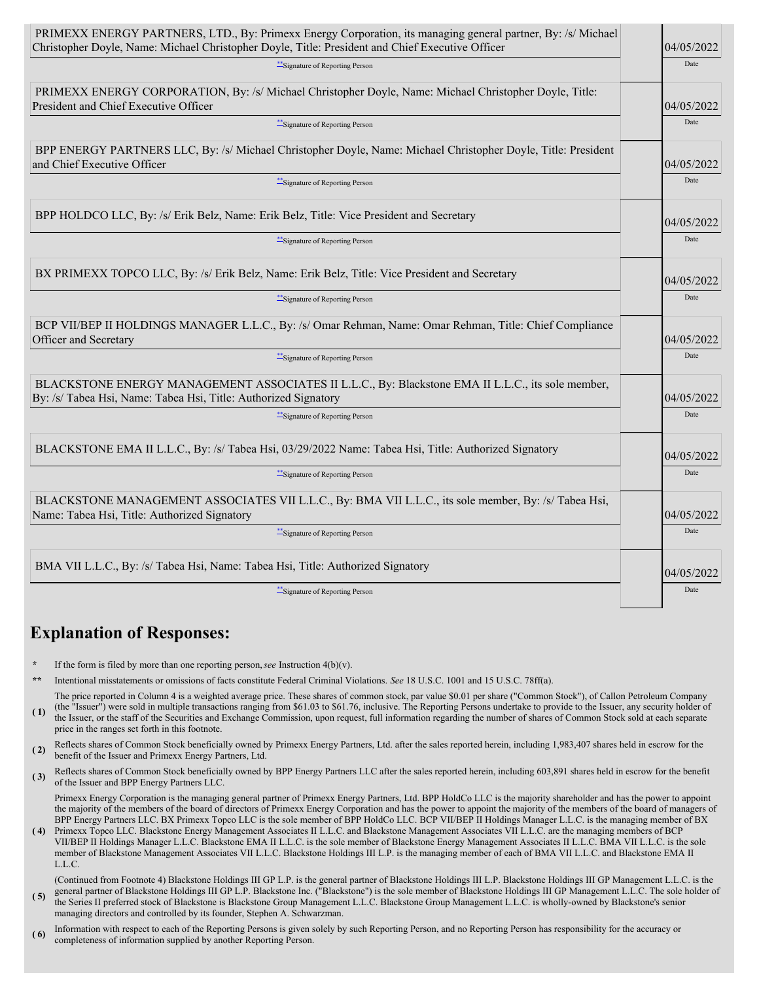| PRIMEXX ENERGY PARTNERS, LTD., By: Primexx Energy Corporation, its managing general partner, By: /s/ Michael<br>Christopher Doyle, Name: Michael Christopher Doyle, Title: President and Chief Executive Officer | 04/05/2022 |
|------------------------------------------------------------------------------------------------------------------------------------------------------------------------------------------------------------------|------------|
| ***Signature of Reporting Person                                                                                                                                                                                 | Date       |
| PRIMEXX ENERGY CORPORATION, By: /s/ Michael Christopher Doyle, Name: Michael Christopher Doyle, Title:<br>President and Chief Executive Officer                                                                  | 04/05/2022 |
| *** Signature of Reporting Person                                                                                                                                                                                | Date       |
| BPP ENERGY PARTNERS LLC, By: /s/ Michael Christopher Doyle, Name: Michael Christopher Doyle, Title: President<br>and Chief Executive Officer                                                                     | 04/05/2022 |
| **Signature of Reporting Person                                                                                                                                                                                  | Date       |
| BPP HOLDCO LLC, By: /s/ Erik Belz, Name: Erik Belz, Title: Vice President and Secretary                                                                                                                          | 04/05/2022 |
| "Signature of Reporting Person                                                                                                                                                                                   | Date       |
| BX PRIMEXX TOPCO LLC, By: /s/ Erik Belz, Name: Erik Belz, Title: Vice President and Secretary                                                                                                                    | 04/05/2022 |
| ***Signature of Reporting Person                                                                                                                                                                                 | Date       |
| BCP VII/BEP II HOLDINGS MANAGER L.L.C., By: /s/ Omar Rehman, Name: Omar Rehman, Title: Chief Compliance<br>Officer and Secretary                                                                                 | 04/05/2022 |
| *** Signature of Reporting Person                                                                                                                                                                                | Date       |
| BLACKSTONE ENERGY MANAGEMENT ASSOCIATES II L.L.C., By: Blackstone EMA II L.L.C., its sole member,<br>By: /s/ Tabea Hsi, Name: Tabea Hsi, Title: Authorized Signatory                                             | 04/05/2022 |
| ***Signature of Reporting Person                                                                                                                                                                                 | Date       |
| BLACKSTONE EMA II L.L.C., By: /s/ Tabea Hsi, 03/29/2022 Name: Tabea Hsi, Title: Authorized Signatory                                                                                                             | 04/05/2022 |
| ** Signature of Reporting Person                                                                                                                                                                                 | Date       |
| BLACKSTONE MANAGEMENT ASSOCIATES VII L.L.C., By: BMA VII L.L.C., its sole member, By: /s/ Tabea Hsi,<br>Name: Tabea Hsi, Title: Authorized Signatory                                                             | 04/05/2022 |
| ***Signature of Reporting Person                                                                                                                                                                                 | Date       |
| BMA VII L.L.C., By: /s/ Tabea Hsi, Name: Tabea Hsi, Title: Authorized Signatory                                                                                                                                  | 04/05/2022 |
| **Signature of Reporting Person                                                                                                                                                                                  | Date       |

### **Explanation of Responses:**

- If the form is filed by more than one reporting person,  $see$  Instruction  $4(b)(v)$ .
- **\*\*** Intentional misstatements or omissions of facts constitute Federal Criminal Violations. *See* 18 U.S.C. 1001 and 15 U.S.C. 78ff(a).

**( 1)** The price reported in Column 4 is a weighted average price. These shares of common stock, par value \$0.01 per share ("Common Stock"), of Callon Petroleum Company (the "Issuer") were sold in multiple transactions ranging from \$61.03 to \$61.76, inclusive. The Reporting Persons undertake to provide to the Issuer, any security holder of the Issuer, or the staff of the Securities and Exchange Commission, upon request, full information regarding the number of shares of Common Stock sold at each separate

- price in the ranges set forth in this footnote.
- **(2)** Reflects shares of Common Stock beneficially owned by Primexx Energy Partners, Ltd. after the sales reported herein, including 1,983,407 shares held in escrow for the benefit of the Issuer and Primexx Energy Partners, Ltd.
- **(3)** Reflects shares of Common Stock beneficially owned by BPP Energy Partners LLC after the sales reported herein, including 603,891 shares held in escrow for the benefit of the Issuer and BPP Energy Partners LLC.

Primexx Energy Corporation is the managing general partner of Primexx Energy Partners, Ltd. BPP HoldCo LLC is the majority shareholder and has the power to appoint the majority of the members of the board of directors of Primexx Energy Corporation and has the power to appoint the majority of the members of the board of managers of BPP Energy Partners LLC. BX Primexx Topco LLC is the sole member of BPP HoldCo LLC. BCP VII/BEP II Holdings Manager L.L.C. is the managing member of BX

**( 4)** Primexx Topco LLC. Blackstone Energy Management Associates II L.L.C. and Blackstone Management Associates VII L.L.C. are the managing members of BCP VII/BEP II Holdings Manager L.L.C. Blackstone EMA II L.L.C. is the sole member of Blackstone Energy Management Associates II L.L.C. BMA VII L.L.C. is the sole member of Blackstone Management Associates VII L.L.C. Blackstone Holdings III L.P. is the managing member of each of BMA VII L.L.C. and Blackstone EMA II L.L.C.

**( 5)** (Continued from Footnote 4) Blackstone Holdings III GP L.P. is the general partner of Blackstone Holdings III L.P. Blackstone Holdings III GP Management L.L.C. is the general partner of Blackstone Holdings III GP L.P. Blackstone Inc. ("Blackstone") is the sole member of Blackstone Holdings III GP Management L.L.C. The sole holder of the Series II preferred stock of Blackstone is Blackstone Group Management L.L.C. Blackstone Group Management L.L.C. is wholly-owned by Blackstone's senior managing directors and controlled by its founder, Stephen A. Schwarzman.

**( 6)** Information with respect to each of the Reporting Persons is given solely by such Reporting Person, and no Reporting Person has responsibility for the accuracy or completeness of information supplied by another Reporting Person.